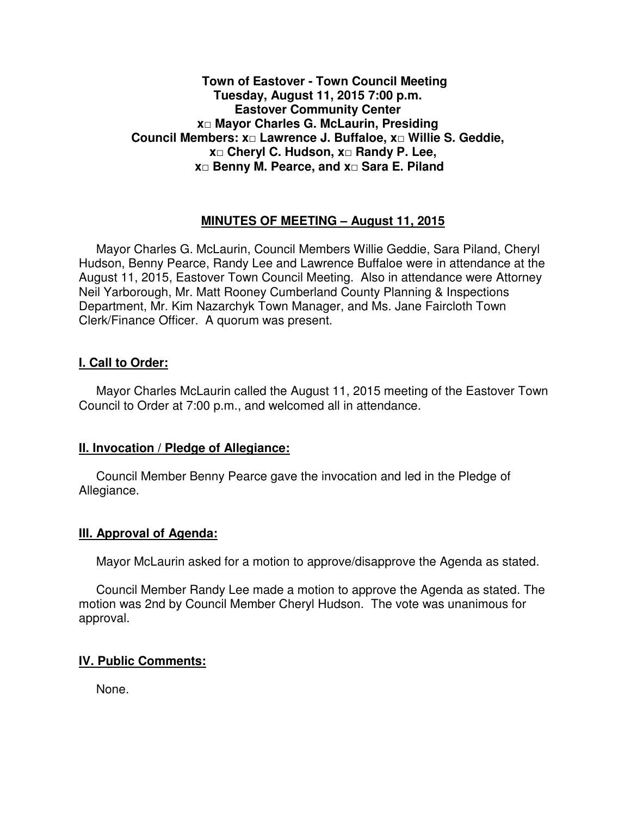# **Town of Eastover - Town Council Meeting Tuesday, August 11, 2015 7:00 p.m. Eastover Community Center x□ Mayor Charles G. McLaurin, Presiding Council Members: x□ Lawrence J. Buffaloe, x□ Willie S. Geddie, x□ Cheryl C. Hudson, x□ Randy P. Lee, x□ Benny M. Pearce, and x□ Sara E. Piland**

# **MINUTES OF MEETING – August 11, 2015**

Mayor Charles G. McLaurin, Council Members Willie Geddie, Sara Piland, Cheryl Hudson, Benny Pearce, Randy Lee and Lawrence Buffaloe were in attendance at the August 11, 2015, Eastover Town Council Meeting. Also in attendance were Attorney Neil Yarborough, Mr. Matt Rooney Cumberland County Planning & Inspections Department, Mr. Kim Nazarchyk Town Manager, and Ms. Jane Faircloth Town Clerk/Finance Officer. A quorum was present.

## **I. Call to Order:**

Mayor Charles McLaurin called the August 11, 2015 meeting of the Eastover Town Council to Order at 7:00 p.m., and welcomed all in attendance.

## **II. Invocation / Pledge of Allegiance:**

 Council Member Benny Pearce gave the invocation and led in the Pledge of Allegiance.

## **III. Approval of Agenda:**

Mayor McLaurin asked for a motion to approve/disapprove the Agenda as stated.

 Council Member Randy Lee made a motion to approve the Agenda as stated. The motion was 2nd by Council Member Cheryl Hudson. The vote was unanimous for approval.

## **IV. Public Comments:**

None.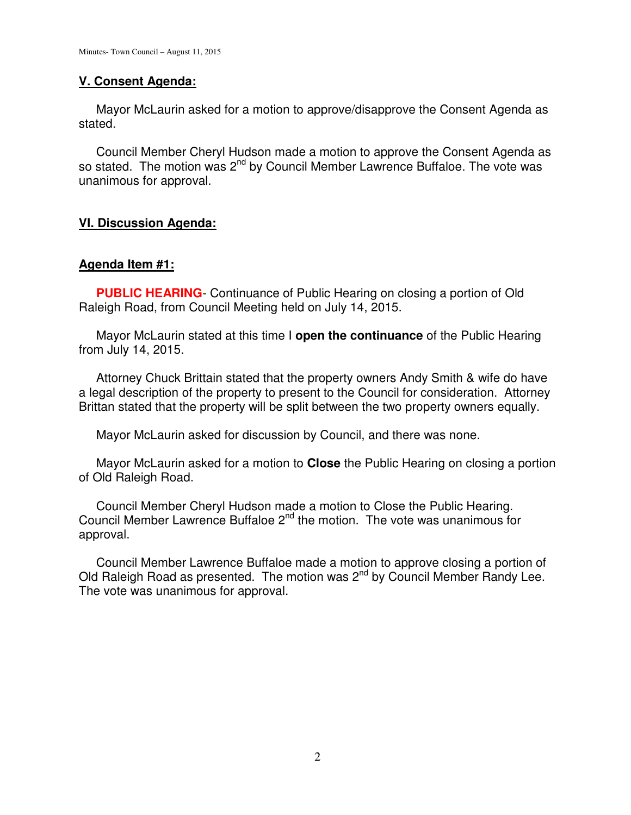# **V. Consent Agenda:**

 Mayor McLaurin asked for a motion to approve/disapprove the Consent Agenda as stated.

 Council Member Cheryl Hudson made a motion to approve the Consent Agenda as so stated. The motion was 2<sup>nd</sup> by Council Member Lawrence Buffaloe. The vote was unanimous for approval.

## **VI. Discussion Agenda:**

## **Agenda Item #1:**

**PUBLIC HEARING**- Continuance of Public Hearing on closing a portion of Old Raleigh Road, from Council Meeting held on July 14, 2015.

 Mayor McLaurin stated at this time I **open the continuance** of the Public Hearing from July 14, 2015.

 Attorney Chuck Brittain stated that the property owners Andy Smith & wife do have a legal description of the property to present to the Council for consideration. Attorney Brittan stated that the property will be split between the two property owners equally.

Mayor McLaurin asked for discussion by Council, and there was none.

 Mayor McLaurin asked for a motion to **Close** the Public Hearing on closing a portion of Old Raleigh Road.

 Council Member Cheryl Hudson made a motion to Close the Public Hearing. Council Member Lawrence Buffaloe 2<sup>nd</sup> the motion. The vote was unanimous for approval.

 Council Member Lawrence Buffaloe made a motion to approve closing a portion of Old Raleigh Road as presented. The motion was 2<sup>nd</sup> by Council Member Randy Lee. The vote was unanimous for approval.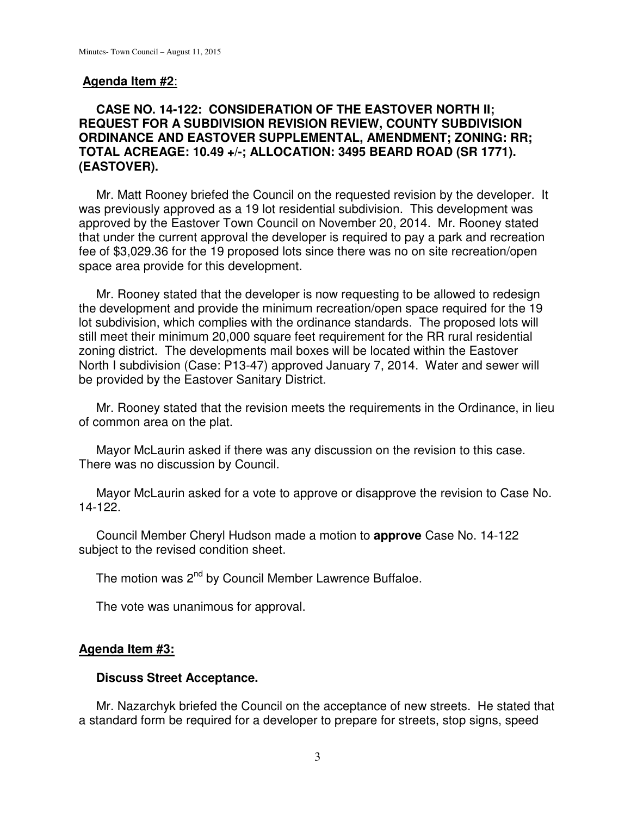## **Agenda Item #2**:

# **CASE NO. 14-122: CONSIDERATION OF THE EASTOVER NORTH II; REQUEST FOR A SUBDIVISION REVISION REVIEW, COUNTY SUBDIVISION ORDINANCE AND EASTOVER SUPPLEMENTAL, AMENDMENT; ZONING: RR; TOTAL ACREAGE: 10.49 +/-; ALLOCATION: 3495 BEARD ROAD (SR 1771). (EASTOVER).**

 Mr. Matt Rooney briefed the Council on the requested revision by the developer. It was previously approved as a 19 lot residential subdivision. This development was approved by the Eastover Town Council on November 20, 2014. Mr. Rooney stated that under the current approval the developer is required to pay a park and recreation fee of \$3,029.36 for the 19 proposed lots since there was no on site recreation/open space area provide for this development.

 Mr. Rooney stated that the developer is now requesting to be allowed to redesign the development and provide the minimum recreation/open space required for the 19 lot subdivision, which complies with the ordinance standards. The proposed lots will still meet their minimum 20,000 square feet requirement for the RR rural residential zoning district. The developments mail boxes will be located within the Eastover North I subdivision (Case: P13-47) approved January 7, 2014. Water and sewer will be provided by the Eastover Sanitary District.

 Mr. Rooney stated that the revision meets the requirements in the Ordinance, in lieu of common area on the plat.

 Mayor McLaurin asked if there was any discussion on the revision to this case. There was no discussion by Council.

 Mayor McLaurin asked for a vote to approve or disapprove the revision to Case No. 14-122.

 Council Member Cheryl Hudson made a motion to **approve** Case No. 14-122 subject to the revised condition sheet.

The motion was 2<sup>nd</sup> by Council Member Lawrence Buffaloe.

The vote was unanimous for approval.

## **Agenda Item #3:**

## **Discuss Street Acceptance.**

Mr. Nazarchyk briefed the Council on the acceptance of new streets. He stated that a standard form be required for a developer to prepare for streets, stop signs, speed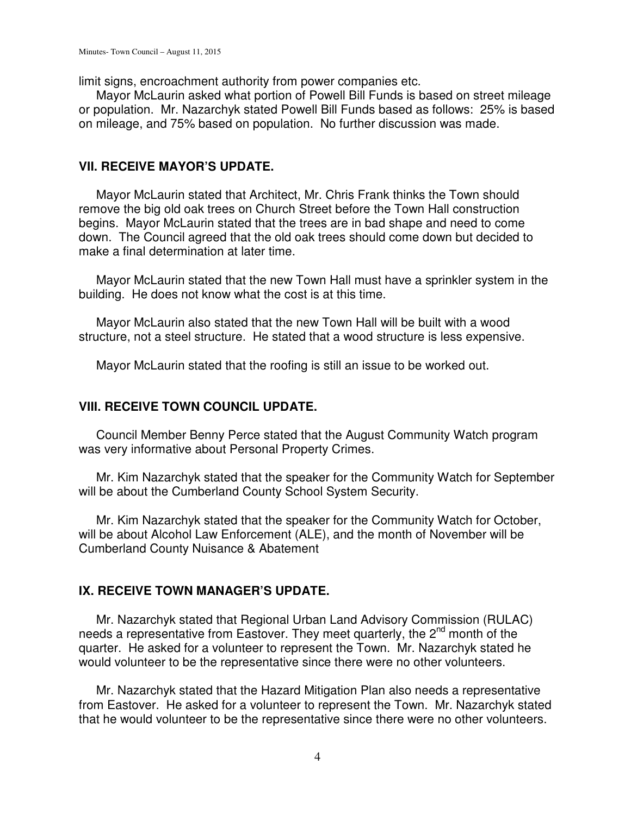limit signs, encroachment authority from power companies etc.

 Mayor McLaurin asked what portion of Powell Bill Funds is based on street mileage or population. Mr. Nazarchyk stated Powell Bill Funds based as follows: 25% is based on mileage, and 75% based on population. No further discussion was made.

## **VII. RECEIVE MAYOR'S UPDATE.**

 Mayor McLaurin stated that Architect, Mr. Chris Frank thinks the Town should remove the big old oak trees on Church Street before the Town Hall construction begins. Mayor McLaurin stated that the trees are in bad shape and need to come down. The Council agreed that the old oak trees should come down but decided to make a final determination at later time.

 Mayor McLaurin stated that the new Town Hall must have a sprinkler system in the building. He does not know what the cost is at this time.

 Mayor McLaurin also stated that the new Town Hall will be built with a wood structure, not a steel structure. He stated that a wood structure is less expensive.

Mayor McLaurin stated that the roofing is still an issue to be worked out.

## **VIII. RECEIVE TOWN COUNCIL UPDATE.**

 Council Member Benny Perce stated that the August Community Watch program was very informative about Personal Property Crimes.

 Mr. Kim Nazarchyk stated that the speaker for the Community Watch for September will be about the Cumberland County School System Security.

 Mr. Kim Nazarchyk stated that the speaker for the Community Watch for October, will be about Alcohol Law Enforcement (ALE), and the month of November will be Cumberland County Nuisance & Abatement

## **IX. RECEIVE TOWN MANAGER'S UPDATE.**

 Mr. Nazarchyk stated that Regional Urban Land Advisory Commission (RULAC) needs a representative from Eastover. They meet quarterly, the 2<sup>nd</sup> month of the quarter. He asked for a volunteer to represent the Town. Mr. Nazarchyk stated he would volunteer to be the representative since there were no other volunteers.

 Mr. Nazarchyk stated that the Hazard Mitigation Plan also needs a representative from Eastover. He asked for a volunteer to represent the Town. Mr. Nazarchyk stated that he would volunteer to be the representative since there were no other volunteers.